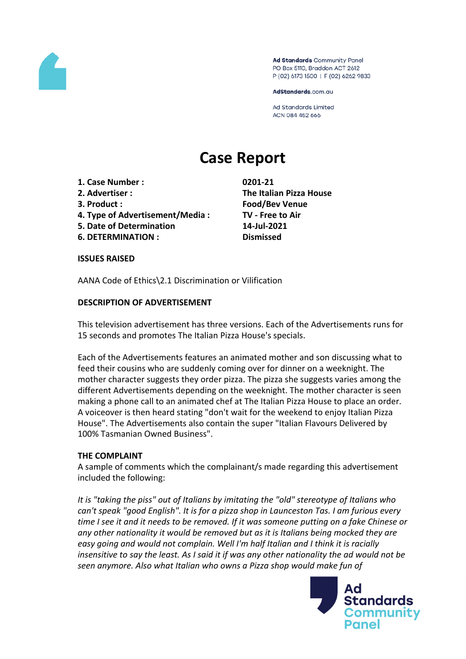

Ad Standards Community Panel PO Box 5110, Braddon ACT 2612 P (02) 6173 1500 | F (02) 6262 9833

AdStandards.com.au

**Ad Standards Limited** ACN 084 452 666

# **Case Report**

- **1. Case Number : 0201-21**
- 
- 
- **4. Type of Advertisement/Media : TV - Free to Air**
- **5. Date of Determination 14-Jul-2021**
- **6. DETERMINATION : Dismissed**

**2. Advertiser : The Italian Pizza House 3. Product : Food/Bev Venue**

**ISSUES RAISED**

AANA Code of Ethics\2.1 Discrimination or Vilification

#### **DESCRIPTION OF ADVERTISEMENT**

This television advertisement has three versions. Each of the Advertisements runs for 15 seconds and promotes The Italian Pizza House's specials.

Each of the Advertisements features an animated mother and son discussing what to feed their cousins who are suddenly coming over for dinner on a weeknight. The mother character suggests they order pizza. The pizza she suggests varies among the different Advertisements depending on the weeknight. The mother character is seen making a phone call to an animated chef at The Italian Pizza House to place an order. A voiceover is then heard stating "don't wait for the weekend to enjoy Italian Pizza House". The Advertisements also contain the super "Italian Flavours Delivered by 100% Tasmanian Owned Business".

#### **THE COMPLAINT**

A sample of comments which the complainant/s made regarding this advertisement included the following:

*It is "taking the piss" out of Italians by imitating the "old" stereotype of Italians who can't speak "good English". It is for a pizza shop in Launceston Tas. I am furious every* time I see it and it needs to be removed. If it was someone putting on a fake Chinese or *any other nationality it would be removed but as it is Italians being mocked they are easy going and would not complain. Well I'm half Italian and I think it is racially insensitive to say the least. As I said it if was any other nationality the ad would not be seen anymore. Also what Italian who owns a Pizza shop would make fun of*

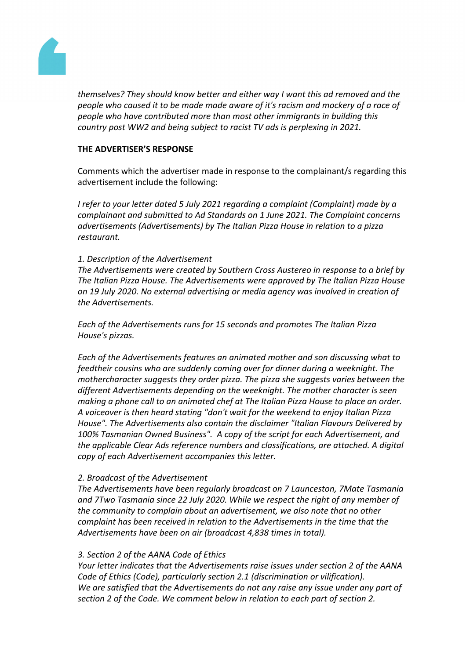

*themselves? They should know better and either way I want this ad removed and the people who caused it to be made made aware of it's racism and mockery of a race of people who have contributed more than most other immigrants in building this country post WW2 and being subject to racist TV ads is perplexing in 2021.*

#### **THE ADVERTISER'S RESPONSE**

Comments which the advertiser made in response to the complainant/s regarding this advertisement include the following:

*I refer to your letter dated 5 July 2021 regarding a complaint (Complaint) made by a complainant and submitted to Ad Standards on 1 June 2021. The Complaint concerns advertisements (Advertisements) by The Italian Pizza House in relation to a pizza restaurant.*

## *1. Description of the Advertisement*

*The Advertisements were created by Southern Cross Austereo in response to a brief by The Italian Pizza House. The Advertisements were approved by The Italian Pizza House on 19 July 2020. No external advertising or media agency was involved in creation of the Advertisements.*

*Each of the Advertisements runs for 15 seconds and promotes The Italian Pizza House's pizzas.*

*Each of the Advertisements features an animated mother and son discussing what to feedtheir cousins who are suddenly coming over for dinner during a weeknight. The mothercharacter suggests they order pizza. The pizza she suggests varies between the different Advertisements depending on the weeknight. The mother character is seen making a phone call to an animated chef at The Italian Pizza House to place an order. A voiceover is then heard stating "don't wait for the weekend to enjoy Italian Pizza House". The Advertisements also contain the disclaimer "Italian Flavours Delivered by 100% Tasmanian Owned Business". A copy of the script for each Advertisement, and the applicable Clear Ads reference numbers and classifications, are attached. A digital copy of each Advertisement accompanies this letter.*

#### *2. Broadcast of the Advertisement*

*The Advertisements have been regularly broadcast on 7 Launceston, 7Mate Tasmania and 7Two Tasmania since 22 July 2020. While we respect the right of any member of the community to complain about an advertisement, we also note that no other complaint has been received in relation to the Advertisements in the time that the Advertisements have been on air (broadcast 4,838 times in total).*

#### *3. Section 2 of the AANA Code of Ethics*

*Your letter indicates that the Advertisements raise issues under section 2 of the AANA Code of Ethics (Code), particularly section 2.1 (discrimination or vilification). We are satisfied that the Advertisements do not any raise any issue under any part of section 2 of the Code. We comment below in relation to each part of section 2.*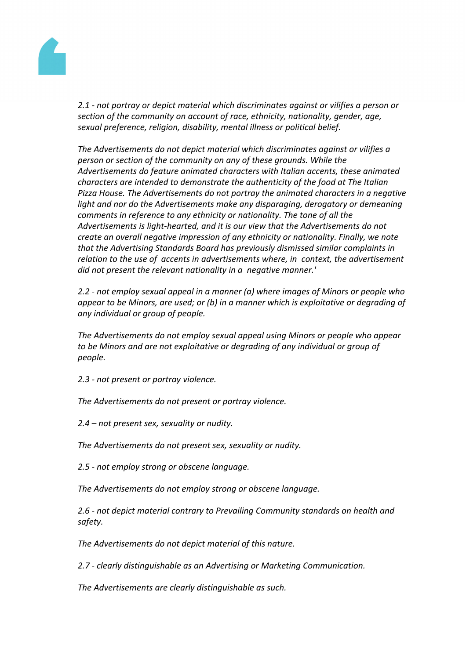

*2.1 - not portray or depict material which discriminates against or vilifies a person or section of the community on account of race, ethnicity, nationality, gender, age, sexual preference, religion, disability, mental illness or political belief.*

*The Advertisements do not depict material which discriminates against or vilifies a person or section of the community on any of these grounds. While the Advertisements do feature animated characters with Italian accents, these animated characters are intended to demonstrate the authenticity of the food at The Italian Pizza House. The Advertisements do not portray the animated characters in a negative light and nor do the Advertisements make any disparaging, derogatory or demeaning comments in reference to any ethnicity or nationality. The tone of all the Advertisements is light-hearted, and it is our view that the Advertisements do not create an overall negative impression of any ethnicity or nationality. Finally, we note that the Advertising Standards Board has previously dismissed similar complaints in relation to the use of accents in advertisements where, in context, the advertisement did not present the relevant nationality in a negative manner.'*

*2.2 - not employ sexual appeal in a manner (a) where images of Minors or people who appear to be Minors, are used; or (b) in a manner which is exploitative or degrading of any individual or group of people.*

*The Advertisements do not employ sexual appeal using Minors or people who appear to be Minors and are not exploitative or degrading of any individual or group of people.*

*2.3 - not present or portray violence.*

*The Advertisements do not present or portray violence.*

*2.4 – not present sex, sexuality or nudity.*

*The Advertisements do not present sex, sexuality or nudity.*

*2.5 - not employ strong or obscene language.*

*The Advertisements do not employ strong or obscene language.*

*2.6 - not depict material contrary to Prevailing Community standards on health and safety.*

*The Advertisements do not depict material of this nature.*

*2.7 - clearly distinguishable as an Advertising or Marketing Communication.*

*The Advertisements are clearly distinguishable as such.*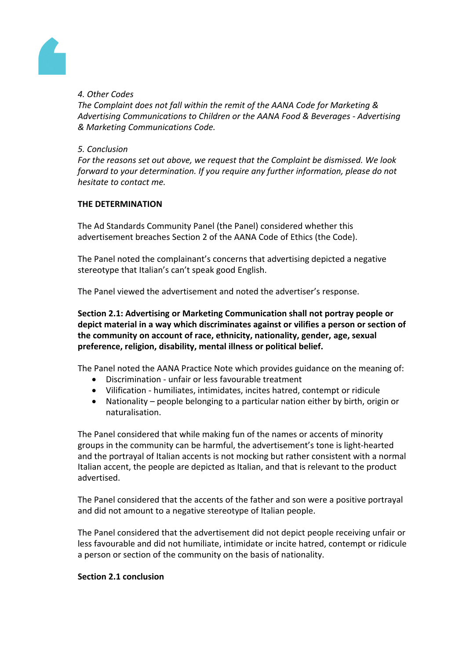

# *4. Other Codes*

*The Complaint does not fall within the remit of the AANA Code for Marketing & Advertising Communications to Children or the AANA Food & Beverages - Advertising & Marketing Communications Code.*

### *5. Conclusion*

*For the reasons set out above, we request that the Complaint be dismissed. We look forward to your determination. If you require any further information, please do not hesitate to contact me.*

# **THE DETERMINATION**

The Ad Standards Community Panel (the Panel) considered whether this advertisement breaches Section 2 of the AANA Code of Ethics (the Code).

The Panel noted the complainant's concerns that advertising depicted a negative stereotype that Italian's can't speak good English.

The Panel viewed the advertisement and noted the advertiser's response.

**Section 2.1: Advertising or Marketing Communication shall not portray people or depict material in a way which discriminates against or vilifies a person or section of the community on account of race, ethnicity, nationality, gender, age, sexual preference, religion, disability, mental illness or political belief.**

The Panel noted the AANA Practice Note which provides guidance on the meaning of:

- Discrimination unfair or less favourable treatment
- Vilification humiliates, intimidates, incites hatred, contempt or ridicule
- Nationality people belonging to a particular nation either by birth, origin or naturalisation.

The Panel considered that while making fun of the names or accents of minority groups in the community can be harmful, the advertisement's tone is light-hearted and the portrayal of Italian accents is not mocking but rather consistent with a normal Italian accent, the people are depicted as Italian, and that is relevant to the product advertised.

The Panel considered that the accents of the father and son were a positive portrayal and did not amount to a negative stereotype of Italian people.

The Panel considered that the advertisement did not depict people receiving unfair or less favourable and did not humiliate, intimidate or incite hatred, contempt or ridicule a person or section of the community on the basis of nationality.

#### **Section 2.1 conclusion**